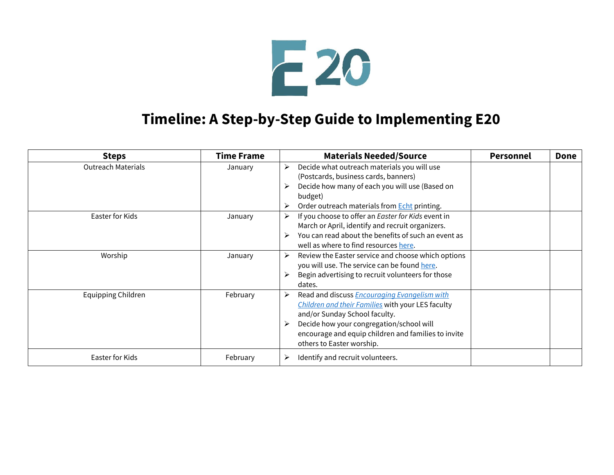

## **Timeline: A Step-by-Step Guide to Implementing E20**

| <b>Steps</b>              | <b>Time Frame</b> | <b>Materials Needed/Source</b>                                                                                                                                                                                                                                                 | <b>Personnel</b> | Done |
|---------------------------|-------------------|--------------------------------------------------------------------------------------------------------------------------------------------------------------------------------------------------------------------------------------------------------------------------------|------------------|------|
| <b>Outreach Materials</b> | January           | Decide what outreach materials you will use<br>➤<br>(Postcards, business cards, banners)<br>Decide how many of each you will use (Based on<br>budget)<br>Order outreach materials from <b>Echt</b> printing.<br>➤                                                              |                  |      |
| Easter for Kids           | January           | If you choose to offer an Easter for Kids event in<br>$\blacktriangleright$<br>March or April, identify and recruit organizers.<br>You can read about the benefits of such an event as<br>➤<br>well as where to find resources here.                                           |                  |      |
| Worship                   | January           | Review the Easter service and choose which options<br>➤<br>you will use. The service can be found here.<br>Begin advertising to recruit volunteers for those<br>dates.                                                                                                         |                  |      |
| Equipping Children        | February          | Read and discuss <b>Encouraging Evangelism with</b><br>➤<br>Children and their Families with your LES faculty<br>and/or Sunday School faculty.<br>Decide how your congregation/school will<br>encourage and equip children and families to invite<br>others to Easter worship. |                  |      |
| Easter for Kids           | February          | Identify and recruit volunteers.<br>➤                                                                                                                                                                                                                                          |                  |      |